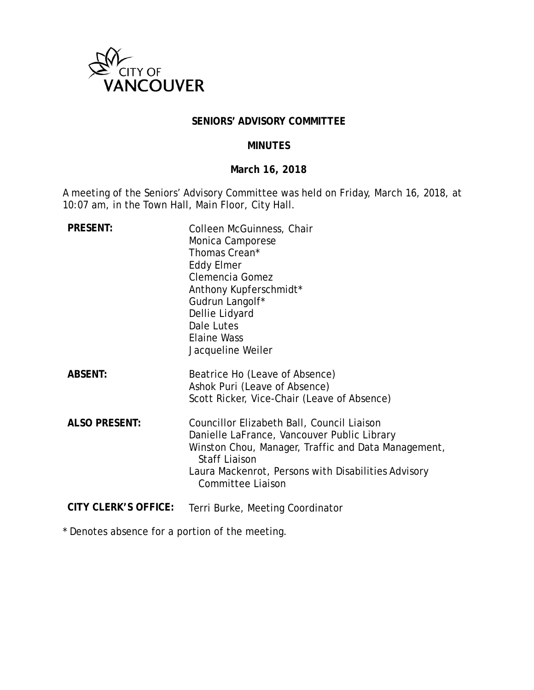

### **SENIORS' ADVISORY COMMITTEE**

### **MINUTES**

# **March 16, 2018**

A meeting of the Seniors' Advisory Committee was held on Friday, March 16, 2018, at 10:07 am, in the Town Hall, Main Floor, City Hall.

| <b>PRESENT:</b>             | Colleen McGuinness, Chair<br>Monica Camporese<br>Thomas Crean*<br><b>Eddy Elmer</b><br>Clemencia Gomez<br>Anthony Kupferschmidt*<br>Gudrun Langolf*<br>Dellie Lidyard<br>Dale Lutes<br><b>Elaine Wass</b><br>Jacqueline Weiler                              |
|-----------------------------|-------------------------------------------------------------------------------------------------------------------------------------------------------------------------------------------------------------------------------------------------------------|
| <b>ABSENT:</b>              | Beatrice Ho (Leave of Absence)<br>Ashok Puri (Leave of Absence)<br>Scott Ricker, Vice-Chair (Leave of Absence)                                                                                                                                              |
| <b>ALSO PRESENT:</b>        | Councillor Elizabeth Ball, Council Liaison<br>Danielle LaFrance, Vancouver Public Library<br>Winston Chou, Manager, Traffic and Data Management,<br><b>Staff Liaison</b><br>Laura Mackenrot, Persons with Disabilities Advisory<br><b>Committee Liaison</b> |
| <b>CITY CLERK'S OFFICE:</b> | Terri Burke, Meeting Coordinator                                                                                                                                                                                                                            |

\* Denotes absence for a portion of the meeting.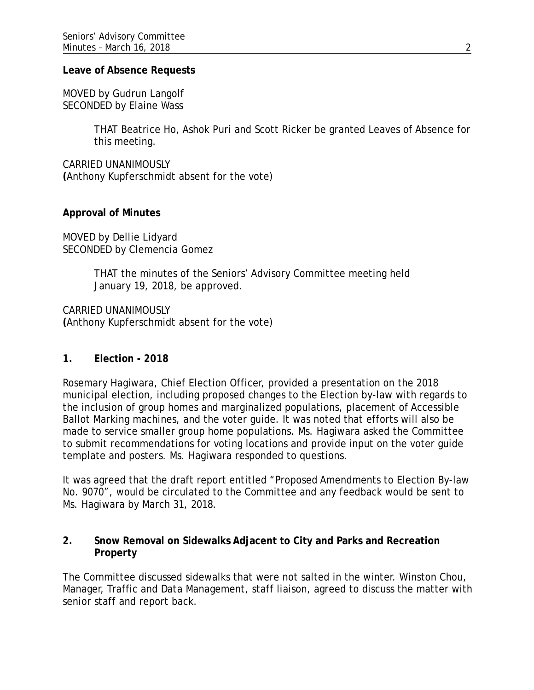#### **Leave of Absence Requests**

MOVED by Gudrun Langolf SECONDED by Elaine Wass

> THAT Beatrice Ho, Ashok Puri and Scott Ricker be granted Leaves of Absence for this meeting.

CARRIED UNANIMOUSLY **(**Anthony Kupferschmidt absent for the vote)

#### **Approval of Minutes**

MOVED by Dellie Lidyard SECONDED by Clemencia Gomez

> THAT the minutes of the Seniors' Advisory Committee meeting held January 19, 2018, be approved.

CARRIED UNANIMOUSLY **(**Anthony Kupferschmidt absent for the vote)

#### **1. Election - 2018**

Rosemary Hagiwara, Chief Election Officer, provided a presentation on the 2018 municipal election, including proposed changes to the Election by-law with regards to the inclusion of group homes and marginalized populations, placement of Accessible Ballot Marking machines, and the voter guide. It was noted that efforts will also be made to service smaller group home populations. Ms. Hagiwara asked the Committee to submit recommendations for voting locations and provide input on the voter guide template and posters. Ms. Hagiwara responded to questions.

It was agreed that the draft report entitled "Proposed Amendments to Election By-law No. 9070", would be circulated to the Committee and any feedback would be sent to Ms. Hagiwara by March 31, 2018.

## **2. Snow Removal on Sidewalks Adjacent to City and Parks and Recreation Property**

The Committee discussed sidewalks that were not salted in the winter. Winston Chou, Manager, Traffic and Data Management, staff liaison, agreed to discuss the matter with senior staff and report back.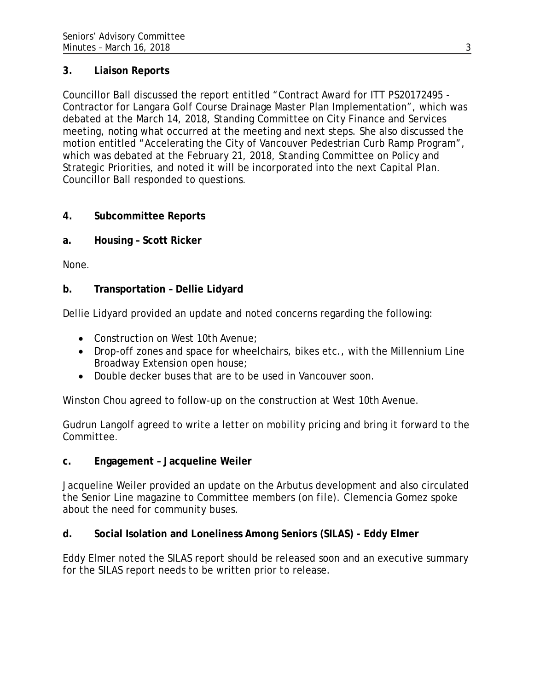# **3. Liaison Reports**

Councillor Ball discussed the report entitled "Contract Award for ITT PS20172495 - Contractor for Langara Golf Course Drainage Master Plan Implementation", which was debated at the March 14, 2018, Standing Committee on City Finance and Services meeting, noting what occurred at the meeting and next steps. She also discussed the motion entitled "Accelerating the City of Vancouver Pedestrian Curb Ramp Program", which was debated at the February 21, 2018, Standing Committee on Policy and Strategic Priorities, and noted it will be incorporated into the next Capital Plan. Councillor Ball responded to questions.

# **4. Subcommittee Reports**

**a. Housing – Scott Ricker**

None.

# **b. Transportation – Dellie Lidyard**

Dellie Lidyard provided an update and noted concerns regarding the following:

- Construction on West 10th Avenue;
- Drop-off zones and space for wheelchairs, bikes etc., with the Millennium Line Broadway Extension open house;
- Double decker buses that are to be used in Vancouver soon.

Winston Chou agreed to follow-up on the construction at West 10th Avenue.

Gudrun Langolf agreed to write a letter on mobility pricing and bring it forward to the Committee.

## **c. Engagement – Jacqueline Weiler**

Jacqueline Weiler provided an update on the Arbutus development and also circulated the Senior Line magazine to Committee members (*on file*). Clemencia Gomez spoke about the need for community buses.

# **d. Social Isolation and Loneliness Among Seniors (SILAS) - Eddy Elmer**

Eddy Elmer noted the SILAS report should be released soon and an executive summary for the SILAS report needs to be written prior to release.